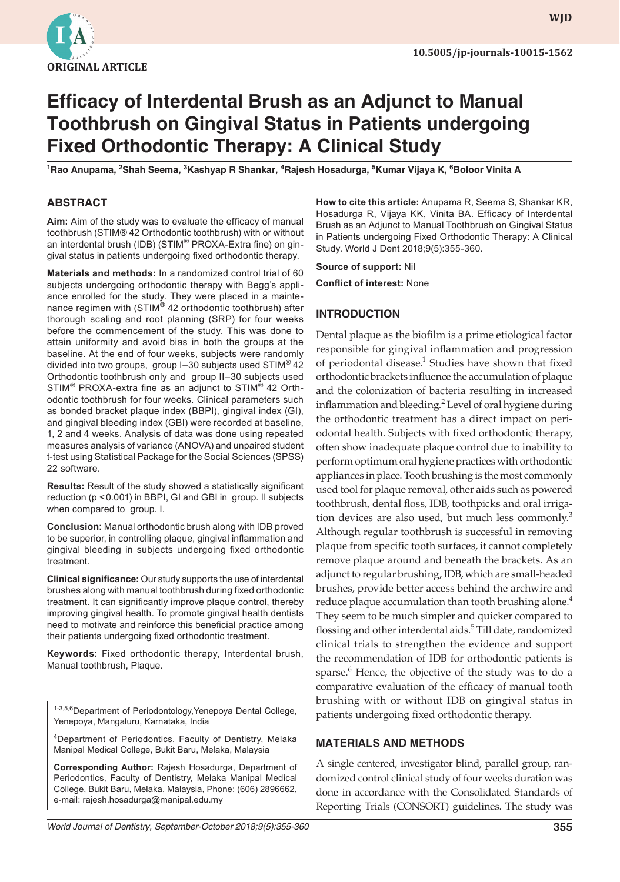

**WJD WJD**

# **Efficacy of Interdental Brush as an Adjunct to Manual Toothbrush on Gingival Status in Patients undergoing Fixed Orthodontic Therapy: A Clinical Study**

**1 Rao Anupama, <sup>2</sup> Shah Seema, <sup>3</sup> Kashyap R Shankar, <sup>4</sup> Rajesh Hosadurga, <sup>5</sup> Kumar Vijaya K, <sup>6</sup> Boloor Vinita A**

#### **ABSTRACT**

**Aim:** Aim of the study was to evaluate the efficacy of manual toothbrush (STIM® 42 Orthodontic toothbrush) with or without an interdental brush (IDB) (STIM® PROXA-Extra fine) on gingival status in patients undergoing fixed orthodontic therapy.

**Materials and methods:** In a randomized control trial of 60 subjects undergoing orthodontic therapy with Begg's appliance enrolled for the study. They were placed in a maintenance regimen with (STIM<sup>®</sup> 42 orthodontic toothbrush) after thorough scaling and root planning (SRP) for four weeks before the commencement of the study. This was done to attain uniformity and avoid bias in both the groups at the baseline. At the end of four weeks, subjects were randomly divided into two groups, group I–30 subjects used STIM® 42 Orthodontic toothbrush only and group II–30 subjects used STIM® PROXA-extra fine as an adjunct to STIM® 42 Orthodontic toothbrush for four weeks. Clinical parameters such as bonded bracket plaque index (BBPI), gingival index (GI), and gingival bleeding index (GBI) were recorded at baseline, 1, 2 and 4 weeks. Analysis of data was done using repeated measures analysis of variance (ANOVA) and unpaired student t-test using Statistical Package for the Social Sciences (SPSS) 22 software.

**Results:** Result of the study showed a statistically significant reduction (p <0.001) in BBPI, GI and GBI in group. II subjects when compared to group. I.

**Conclusion:** Manual orthodontic brush along with IDB proved to be superior, in controlling plaque, gingival inflammation and gingival bleeding in subjects undergoing fixed orthodontic treatment.

**Clinical significance:** Our study supports the use of interdental brushes along with manual toothbrush during fixed orthodontic treatment. It can significantly improve plaque control, thereby improving gingival health. To promote gingival health dentists need to motivate and reinforce this beneficial practice among their patients undergoing fixed orthodontic treatment.

**Keywords:** Fixed orthodontic therapy, Interdental brush, Manual toothbrush, Plaque.

1-3,5,6 Department of Periodontology, Yenepoya Dental College, Yenepoya, Mangaluru, Karnataka, India

<sup>4</sup>Department of Periodontics, Faculty of Dentistry, Melaka Manipal Medical College, Bukit Baru, Melaka, Malaysia

**Corresponding Author:** Rajesh Hosadurga, Department of Periodontics, Faculty of Dentistry, Melaka Manipal Medical College, Bukit Baru, Melaka, Malaysia, Phone: (606) 2896662, e-mail: rajesh.hosadurga@manipal.edu.my

**How to cite this article:** Anupama R, Seema S, Shankar KR, Hosadurga R, Vijaya KK, Vinita BA. Efficacy of Interdental Brush as an Adjunct to Manual Toothbrush on Gingival Status in Patients undergoing Fixed Orthodontic Therapy: A Clinical Study. World J Dent 2018;9(5):355-360.

**Source of support:** Nil

**Conflict of interest:** None

#### **INTRODUCTION**

Dental plaque as the biofilm is a prime etiological factor responsible for gingival inflammation and progression of periodontal disease.<sup>1</sup> Studies have shown that fixed orthodontic brackets influence the accumulation of plaque and the colonization of bacteria resulting in increased inflammation and bleeding.<sup>2</sup> Level of oral hygiene during the orthodontic treatment has a direct impact on periodontal health. Subjects with fixed orthodontic therapy, often show inadequate plaque control due to inability to perform optimum oral hygiene practices with orthodontic appliances in place. Tooth brushing is the most commonly used tool for plaque removal, other aids such as powered toothbrush, dental floss, IDB, toothpicks and oral irrigation devices are also used, but much less commonly. $3$ Although regular toothbrush is successful in removing plaque from specific tooth surfaces, it cannot completely remove plaque around and beneath the brackets. As an adjunct to regular brushing, IDB, which are small-headed brushes, provide better access behind the archwire and reduce plaque accumulation than tooth brushing alone. $4$ They seem to be much simpler and quicker compared to flossing and other interdental aids.<sup>5</sup> Till date, randomized clinical trials to strengthen the evidence and support the recommendation of IDB for orthodontic patients is sparse.<sup>6</sup> Hence, the objective of the study was to do a comparative evaluation of the efficacy of manual tooth brushing with or without IDB on gingival status in patients undergoing fixed orthodontic therapy.

#### **MATERIALS AND METHODS**

A single centered, investigator blind, parallel group, randomized control clinical study of four weeks duration was done in accordance with the Consolidated Standards of Reporting Trials (CONSORT) guidelines. The study was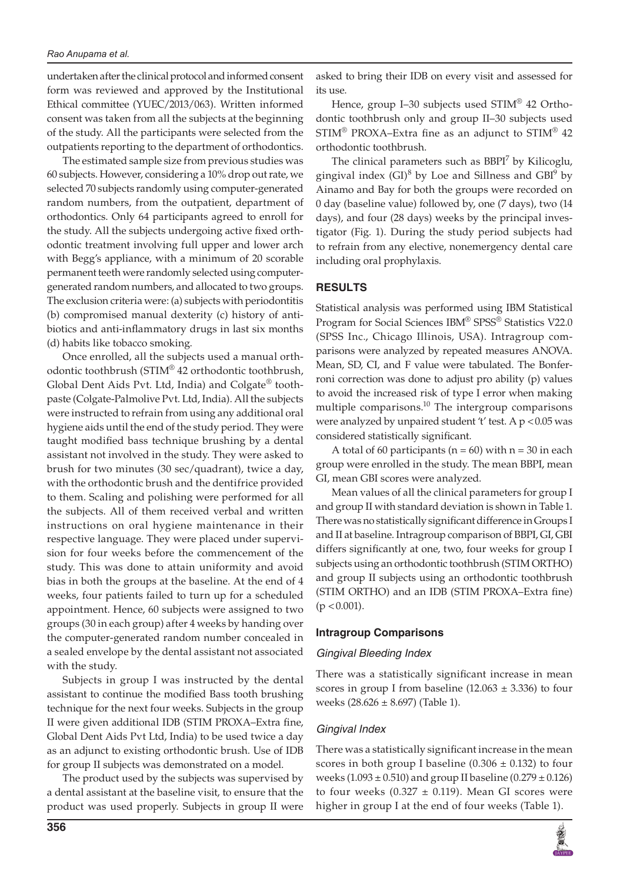undertaken after the clinical protocol and informed consent form was reviewed and approved by the Institutional Ethical committee (YUEC/2013/063). Written informed consent was taken from all the subjects at the beginning of the study. All the participants were selected from the outpatients reporting to the department of orthodontics.

The estimated sample size from previous studies was 60 subjects. However, considering a 10% drop out rate, we selected 70 subjects randomly using computer-generated random numbers, from the outpatient, department of orthodontics. Only 64 participants agreed to enroll for the study. All the subjects undergoing active fixed orthodontic treatment involving full upper and lower arch with Begg's appliance, with a minimum of 20 scorable permanent teeth were randomly selected using computergenerated random numbers, and allocated to two groups. The exclusion criteria were: (a) subjects with periodontitis (b) compromised manual dexterity (c) history of antibiotics and anti-inflammatory drugs in last six months (d) habits like tobacco smoking.

Once enrolled, all the subjects used a manual orthodontic toothbrush (STIM® 42 orthodontic toothbrush, Global Dent Aids Pvt. Ltd, India) and Colgate® toothpaste (Colgate-Palmolive Pvt. Ltd, India). All the subjects were instructed to refrain from using any additional oral hygiene aids until the end of the study period. They were taught modified bass technique brushing by a dental assistant not involved in the study. They were asked to brush for two minutes (30 sec/quadrant), twice a day, with the orthodontic brush and the dentifrice provided to them. Scaling and polishing were performed for all the subjects. All of them received verbal and written instructions on oral hygiene maintenance in their respective language. They were placed under supervision for four weeks before the commencement of the study. This was done to attain uniformity and avoid bias in both the groups at the baseline. At the end of 4 weeks, four patients failed to turn up for a scheduled appointment. Hence, 60 subjects were assigned to two groups (30 in each group) after 4 weeks by handing over the computer-generated random number concealed in a sealed envelope by the dental assistant not associated with the study.

Subjects in group I was instructed by the dental assistant to continue the modified Bass tooth brushing technique for the next four weeks. Subjects in the group II were given additional IDB (STIM PROXA–Extra fine, Global Dent Aids Pvt Ltd, India) to be used twice a day as an adjunct to existing orthodontic brush. Use of IDB for group II subjects was demonstrated on a model.

The product used by the subjects was supervised by a dental assistant at the baseline visit, to ensure that the product was used properly. Subjects in group II were

**356**

asked to bring their IDB on every visit and assessed for its use.

Hence, group I–30 subjects used STIM® 42 Orthodontic toothbrush only and group II–30 subjects used  $STIM^{\circledR}$  PROXA–Extra fine as an adjunct to  $STIM^{\circledR}$  42 orthodontic toothbrush.

The clinical parameters such as  $BBPI<sup>7</sup>$  by Kilicoglu, gingival index  $(GI)^8$  by Loe and Sillness and  $GBI^9$  by Ainamo and Bay for both the groups were recorded on 0 day (baseline value) followed by, one (7 days), two (14 days), and four (28 days) weeks by the principal investigator (Fig. 1). During the study period subjects had to refrain from any elective, nonemergency dental care including oral prophylaxis.

## **RESULTS**

Statistical analysis was performed using IBM Statistical Program for Social Sciences IBM® SPSS® Statistics V22.0 (SPSS Inc., Chicago Illinois, USA). Intragroup comparisons were analyzed by repeated measures ANOVA. Mean, SD, CI, and F value were tabulated. The Bonferroni correction was done to adjust pro ability (p) values to avoid the increased risk of type I error when making multiple comparisons.<sup>10</sup> The intergroup comparisons were analyzed by unpaired student 't' test. A  $p < 0.05$  was considered statistically significant.

A total of 60 participants ( $n = 60$ ) with  $n = 30$  in each group were enrolled in the study. The mean BBPI, mean GI, mean GBI scores were analyzed.

Mean values of all the clinical parameters for group I and group II with standard deviation is shown in Table 1. There was no statistically significant difference in Groups I and II at baseline. Intragroup comparison of BBPI, GI, GBI differs significantly at one, two, four weeks for group I subjects using an orthodontic toothbrush (STIM ORTHO) and group II subjects using an orthodontic toothbrush (STIM ORTHO) and an IDB (STIM PROXA–Extra fine)  $(p < 0.001)$ .

### **Intragroup Comparisons**

#### *Gingival Bleeding Index*

There was a statistically significant increase in mean scores in group I from baseline  $(12.063 \pm 3.336)$  to four weeks  $(28.626 \pm 8.697)$  (Table 1).

### *Gingival Index*

There was a statistically significant increase in the mean scores in both group I baseline  $(0.306 \pm 0.132)$  to four weeks (1.093  $\pm$  0.510) and group II baseline (0.279  $\pm$  0.126) to four weeks (0.327  $\pm$  0.119). Mean GI scores were higher in group I at the end of four weeks (Table 1).

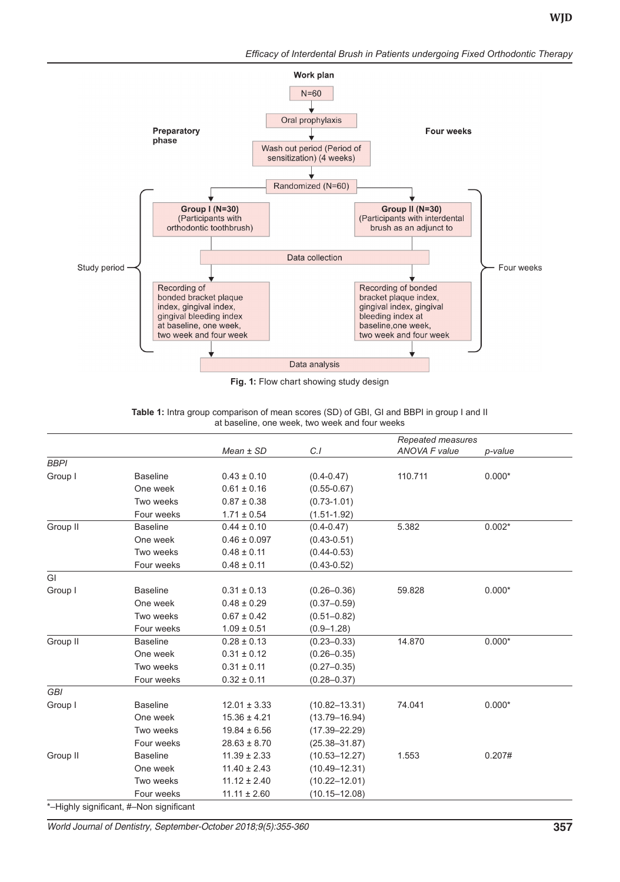*Efficacy of Interdental Brush in Patients undergoing Fixed Orthodontic Therapy*



**Fig. 1:** Flow chart showing study design

|             |                                         | $Mean \pm SD$    | C.I               | Repeated measures<br><b>ANOVA F value</b> | p-value  |
|-------------|-----------------------------------------|------------------|-------------------|-------------------------------------------|----------|
| <b>BBPI</b> |                                         |                  |                   |                                           |          |
| Group I     | <b>Baseline</b>                         | $0.43 \pm 0.10$  | $(0.4 - 0.47)$    | 110.711                                   | $0.000*$ |
|             | One week                                | $0.61 \pm 0.16$  | $(0.55 - 0.67)$   |                                           |          |
|             | Two weeks                               | $0.87 \pm 0.38$  | $(0.73 - 1.01)$   |                                           |          |
|             | Four weeks                              | $1.71 \pm 0.54$  | $(1.51 - 1.92)$   |                                           |          |
| Group II    | <b>Baseline</b>                         | $0.44 \pm 0.10$  | $(0.4 - 0.47)$    | 5.382                                     | $0.002*$ |
|             | One week                                | $0.46 \pm 0.097$ | $(0.43 - 0.51)$   |                                           |          |
|             | Two weeks                               | $0.48 \pm 0.11$  | $(0.44 - 0.53)$   |                                           |          |
|             | Four weeks                              | $0.48 \pm 0.11$  | $(0.43 - 0.52)$   |                                           |          |
| GI          |                                         |                  |                   |                                           |          |
| Group I     | <b>Baseline</b>                         | $0.31 \pm 0.13$  | $(0.26 - 0.36)$   | 59.828                                    | $0.000*$ |
|             | One week                                | $0.48 \pm 0.29$  | $(0.37 - 0.59)$   |                                           |          |
|             | Two weeks                               | $0.67 \pm 0.42$  | $(0.51 - 0.82)$   |                                           |          |
|             | Four weeks                              | $1.09 \pm 0.51$  | $(0.9 - 1.28)$    |                                           |          |
| Group II    | <b>Baseline</b>                         | $0.28 \pm 0.13$  | $(0.23 - 0.33)$   | 14.870                                    | $0.000*$ |
|             | One week                                | $0.31 \pm 0.12$  | $(0.26 - 0.35)$   |                                           |          |
|             | Two weeks                               | $0.31 \pm 0.11$  | $(0.27 - 0.35)$   |                                           |          |
|             | Four weeks                              | $0.32 \pm 0.11$  | $(0.28 - 0.37)$   |                                           |          |
| <b>GBI</b>  |                                         |                  |                   |                                           |          |
| Group I     | <b>Baseline</b>                         | $12.01 \pm 3.33$ | $(10.82 - 13.31)$ | 74.041                                    | $0.000*$ |
|             | One week                                | $15.36 \pm 4.21$ | $(13.79 - 16.94)$ |                                           |          |
|             | Two weeks                               | $19.84 \pm 6.56$ | $(17.39 - 22.29)$ |                                           |          |
|             | Four weeks                              | $28.63 \pm 8.70$ | $(25.38 - 31.87)$ |                                           |          |
| Group II    | <b>Baseline</b>                         | $11.39 \pm 2.33$ | $(10.53 - 12.27)$ | 1.553                                     | 0.207#   |
|             | One week                                | $11.40 \pm 2.43$ | $(10.49 - 12.31)$ |                                           |          |
|             | Two weeks                               | $11.12 \pm 2.40$ | $(10.22 - 12.01)$ |                                           |          |
|             | Four weeks                              | $11.11 \pm 2.60$ | $(10.15 - 12.08)$ |                                           |          |
|             | *-Highly significant, #-Non significant |                  |                   |                                           |          |

**Table 1:** Intra group comparison of mean scores (SD) of GBI, GI and BBPI in group I and II at baseline, one week, two week and four weeks

*World Journal of Dentistry, September-October 2018;9(5):355-360* **357**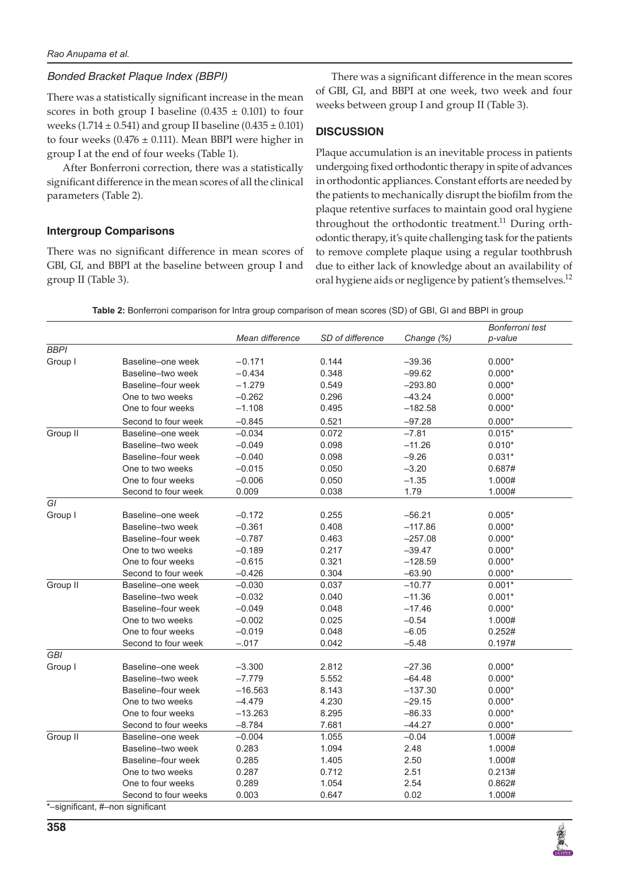# *Bonded Bracket Plaque Index (BBPI)*

There was a statistically significant increase in the mean scores in both group I baseline  $(0.435 \pm 0.101)$  to four weeks (1.714  $\pm$  0.541) and group II baseline (0.435  $\pm$  0.101) to four weeks ( $0.476 \pm 0.111$ ). Mean BBPI were higher in group I at the end of four weeks (Table 1).

After Bonferroni correction, there was a statistically significant difference in the mean scores of all the clinical parameters (Table 2).

# **Intergroup Comparisons**

There was no significant difference in mean scores of GBI, GI, and BBPI at the baseline between group I and group II (Table 3).

There was a significant difference in the mean scores of GBI, GI, and BBPI at one week, two week and four weeks between group I and group II (Table 3).

# **DISCUSSION**

Plaque accumulation is an inevitable process in patients undergoing fixed orthodontic therapy in spite of advances in orthodontic appliances. Constant efforts are needed by the patients to mechanically disrupt the biofilm from the plaque retentive surfaces to maintain good oral hygiene throughout the orthodontic treatment.<sup>11</sup> During orthodontic therapy, it's quite challenging task for the patients to remove complete plaque using a regular toothbrush due to either lack of knowledge about an availability of oral hygiene aids or negligence by patient's themselves.<sup>12</sup>

**Table 2:** Bonferroni comparison for Intra group comparison of mean scores (SD) of GBI, GI and BBPI in group

|             |                                  |                 |                  |            | Bonferroni test |
|-------------|----------------------------------|-----------------|------------------|------------|-----------------|
|             |                                  | Mean difference | SD of difference | Change (%) | p-value         |
| <b>BBPI</b> |                                  |                 |                  |            |                 |
| Group I     | Baseline-one week                | $-0.171$        | 0.144            | $-39.36$   | $0.000*$        |
|             | Baseline-two week                | $-0.434$        | 0.348            | $-99.62$   | $0.000*$        |
|             | Baseline-four week               | $-1.279$        | 0.549            | $-293.80$  | $0.000*$        |
|             | One to two weeks                 | $-0.262$        | 0.296            | $-43.24$   | $0.000*$        |
|             | One to four weeks                | $-1.108$        | 0.495            | $-182.58$  | $0.000*$        |
|             | Second to four week              | $-0.845$        | 0.521            | $-97.28$   | $0.000*$        |
| Group II    | Baseline-one week                | $-0.034$        | 0.072            | $-7.81$    | $0.015*$        |
|             | Baseline-two week                | $-0.049$        | 0.098            | $-11.26$   | $0.010*$        |
|             | Baseline-four week               | $-0.040$        | 0.098            | $-9.26$    | $0.031*$        |
|             | One to two weeks                 | $-0.015$        | 0.050            | $-3.20$    | 0.687#          |
|             | One to four weeks                | $-0.006$        | 0.050            | $-1.35$    | 1.000#          |
|             | Second to four week              | 0.009           | 0.038            | 1.79       | 1.000#          |
| GI          |                                  |                 |                  |            |                 |
| Group I     | Baseline-one week                | $-0.172$        | 0.255            | $-56.21$   | $0.005*$        |
|             | Baseline-two week                | $-0.361$        | 0.408            | $-117.86$  | $0.000*$        |
|             | Baseline-four week               | $-0.787$        | 0.463            | $-257.08$  | $0.000*$        |
|             | One to two weeks                 | $-0.189$        | 0.217            | $-39.47$   | $0.000*$        |
|             | One to four weeks                | $-0.615$        | 0.321            | $-128.59$  | $0.000*$        |
|             | Second to four week              | $-0.426$        | 0.304            | $-63.90$   | $0.000*$        |
| Group II    | Baseline-one week                | $-0.030$        | 0.037            | $-10.77$   | $0.001*$        |
|             | Baseline-two week                | $-0.032$        | 0.040            | $-11.36$   | $0.001*$        |
|             | Baseline-four week               | $-0.049$        | 0.048            | $-17.46$   | $0.000*$        |
|             | One to two weeks                 | $-0.002$        | 0.025            | $-0.54$    | 1.000#          |
|             | One to four weeks                | $-0.019$        | 0.048            | $-6.05$    | 0.252#          |
|             | Second to four week              | $-.017$         | 0.042            | $-5.48$    | 0.197#          |
| GBI         |                                  |                 |                  |            |                 |
| Group I     | Baseline-one week                | $-3.300$        | 2.812            | $-27.36$   | $0.000*$        |
|             | Baseline-two week                | $-7.779$        | 5.552            | $-64.48$   | $0.000*$        |
|             | Baseline-four week               | $-16.563$       | 8.143            | $-137.30$  | $0.000*$        |
|             | One to two weeks                 | $-4.479$        | 4.230            | $-29.15$   | $0.000*$        |
|             | One to four weeks                | $-13.263$       | 8.295            | $-86.33$   | $0.000*$        |
|             | Second to four weeks             | $-8.784$        | 7.681            | $-44.27$   | $0.000*$        |
| Group II    | Baseline-one week                | $-0.004$        | 1.055            | $-0.04$    | 1.000#          |
|             | Baseline-two week                | 0.283           | 1.094            | 2.48       | 1.000#          |
|             | Baseline-four week               | 0.285           | 1.405            | 2.50       | 1.000#          |
|             | One to two weeks                 | 0.287           | 0.712            | 2.51       | 0.213#          |
|             | One to four weeks                | 0.289           | 1.054            | 2.54       | 0.862#          |
|             | Second to four weeks             | 0.003           | 0.647            | 0.02       | 1.000#          |
|             | *-significant, #-non significant |                 |                  |            |                 |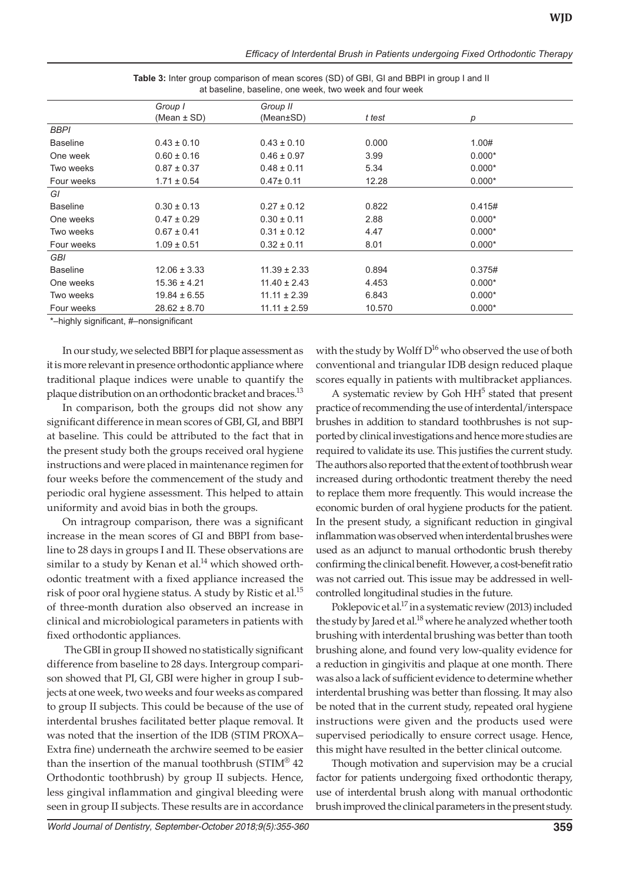|                 | Group I          | Group II         |        |          |  |
|-----------------|------------------|------------------|--------|----------|--|
|                 | (Mean $\pm$ SD)  | (Mean±SD)        | t test | р        |  |
| <b>BBPI</b>     |                  |                  |        |          |  |
| <b>Baseline</b> | $0.43 \pm 0.10$  | $0.43 \pm 0.10$  | 0.000  | 1.00#    |  |
| One week        | $0.60 \pm 0.16$  | $0.46 \pm 0.97$  | 3.99   | $0.000*$ |  |
| Two weeks       | $0.87 \pm 0.37$  | $0.48 \pm 0.11$  | 5.34   | $0.000*$ |  |
| Four weeks      | $1.71 \pm 0.54$  | $0.47 \pm 0.11$  | 12.28  | $0.000*$ |  |
| GI              |                  |                  |        |          |  |
| <b>Baseline</b> | $0.30 \pm 0.13$  | $0.27 \pm 0.12$  | 0.822  | 0.415#   |  |
| One weeks       | $0.47 \pm 0.29$  | $0.30 \pm 0.11$  | 2.88   | $0.000*$ |  |
| Two weeks       | $0.67 \pm 0.41$  | $0.31 \pm 0.12$  | 4.47   | $0.000*$ |  |
| Four weeks      | $1.09 \pm 0.51$  | $0.32 \pm 0.11$  | 8.01   | $0.000*$ |  |
| <b>GBI</b>      |                  |                  |        |          |  |
| <b>Baseline</b> | $12.06 \pm 3.33$ | $11.39 \pm 2.33$ | 0.894  | 0.375#   |  |
| One weeks       | $15.36 \pm 4.21$ | $11.40 \pm 2.43$ | 4.453  | $0.000*$ |  |
| Two weeks       | $19.84 \pm 6.55$ | $11.11 \pm 2.39$ | 6.843  | $0.000*$ |  |
| Four weeks      | $28.62 \pm 8.70$ | $11.11 \pm 2.59$ | 10.570 | $0.000*$ |  |
|                 |                  |                  |        |          |  |

**Table 3:** Inter group comparison of mean scores (SD) of GBI, GI and BBPI in group I and II at baseline, baseline, one week, two week and four week

\*–highly significant, #–nonsignificant

In our study, we selected BBPI for plaque assessment as it is more relevant in presence orthodontic appliance where traditional plaque indices were unable to quantify the plaque distribution on an orthodontic bracket and braces.<sup>13</sup>

In comparison, both the groups did not show any significant difference in mean scores of GBI, GI, and BBPI at baseline. This could be attributed to the fact that in the present study both the groups received oral hygiene instructions and were placed in maintenance regimen for four weeks before the commencement of the study and periodic oral hygiene assessment. This helped to attain uniformity and avoid bias in both the groups.

On intragroup comparison, there was a significant increase in the mean scores of GI and BBPI from baseline to 28 days in groups I and II. These observations are similar to a study by Kenan et al. $^{14}$  which showed orthodontic treatment with a fixed appliance increased the risk of poor oral hygiene status. A study by Ristic et al.<sup>15</sup> of three-month duration also observed an increase in clinical and microbiological parameters in patients with fixed orthodontic appliances.

 The GBI in group II showed no statistically significant difference from baseline to 28 days. Intergroup comparison showed that PI, GI, GBI were higher in group I subjects at one week, two weeks and four weeks as compared to group II subjects. This could be because of the use of interdental brushes facilitated better plaque removal. It was noted that the insertion of the IDB (STIM PROXA– Extra fine) underneath the archwire seemed to be easier than the insertion of the manual toothbrush ( $STIM^{\otimes}$  42 Orthodontic toothbrush) by group II subjects. Hence, less gingival inflammation and gingival bleeding were seen in group II subjects. These results are in accordance

with the study by Wolff  $D^{16}$  who observed the use of both conventional and triangular IDB design reduced plaque scores equally in patients with multibracket appliances.

A systematic review by Goh  $HH<sup>5</sup>$  stated that present practice of recommending the use of interdental/interspace brushes in addition to standard toothbrushes is not supported by clinical investigations and hence more studies are required to validate its use. This justifies the current study. The authors also reported that the extent of toothbrush wear increased during orthodontic treatment thereby the need to replace them more frequently. This would increase the economic burden of oral hygiene products for the patient. In the present study, a significant reduction in gingival inflammation was observed when interdental brushes were used as an adjunct to manual orthodontic brush thereby confirming the clinical benefit. However, a cost-benefit ratio was not carried out. This issue may be addressed in wellcontrolled longitudinal studies in the future.

Poklepovic et al.<sup>17</sup> in a systematic review (2013) included the study by Jared et al. $^{18}$  where he analyzed whether tooth brushing with interdental brushing was better than tooth brushing alone, and found very low-quality evidence for a reduction in gingivitis and plaque at one month. There was also a lack of sufficient evidence to determine whether interdental brushing was better than flossing. It may also be noted that in the current study, repeated oral hygiene instructions were given and the products used were supervised periodically to ensure correct usage. Hence, this might have resulted in the better clinical outcome.

Though motivation and supervision may be a crucial factor for patients undergoing fixed orthodontic therapy, use of interdental brush along with manual orthodontic brush improved the clinical parameters in the present study.